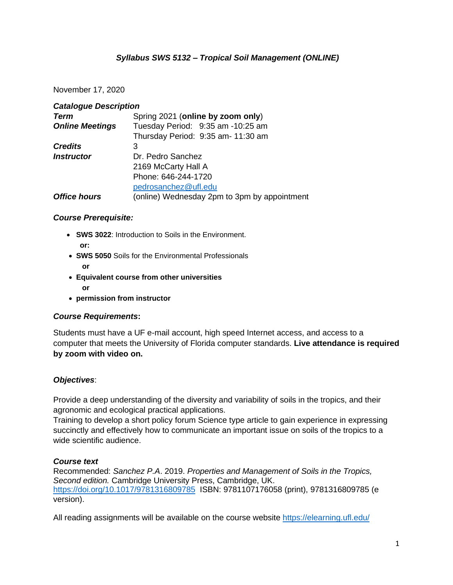# *Syllabus SWS 5132 – Tropical Soil Management (ONLINE)*

### November 17, 2020

| <b>Catalogue Description</b> |                                              |  |  |
|------------------------------|----------------------------------------------|--|--|
| <b>Term</b>                  | Spring 2021 (online by zoom only)            |  |  |
| <b>Online Meetings</b>       | Tuesday Period: 9:35 am -10:25 am            |  |  |
|                              | Thursday Period: 9:35 am- 11:30 am           |  |  |
| <b>Credits</b>               | 3                                            |  |  |
| <i><b>Instructor</b></i>     | Dr. Pedro Sanchez                            |  |  |
|                              | 2169 McCarty Hall A                          |  |  |
|                              | Phone: 646-244-1720                          |  |  |
|                              | pedrosanchez@ufl.edu                         |  |  |
| <b>Office hours</b>          | (online) Wednesday 2pm to 3pm by appointment |  |  |

### *Course Prerequisite:*

- **SWS 3022**: Introduction to Soils in the Environment. **or:**
- **SWS 5050** Soils for the Environmental Professionals **or**
- **Equivalent course from other universities or**
- **permission from instructor**

### *Course Requirements***:**

Students must have a UF e-mail account, high speed Internet access, and access to a computer that meets the University of Florida computer standards. **Live attendance is required by zoom with video on.**

### *Objectives*:

Provide a deep understanding of the diversity and variability of soils in the tropics, and their agronomic and ecological practical applications.

Training to develop a short policy forum Science type article to gain experience in expressing succinctly and effectively how to communicate an important issue on soils of the tropics to a wide scientific audience.

#### *Course text*

Recommended: *Sanchez P.A*. 2019. *Properties and Management of Soils in the Tropics, Second edition.* Cambridge University Press, Cambridge, UK. <https://doi.org/10.1017/9781316809785> ISBN: 9781107176058 (print), 9781316809785 (e version).

All reading assignments will be available on the course website<https://elearning.ufl.edu/>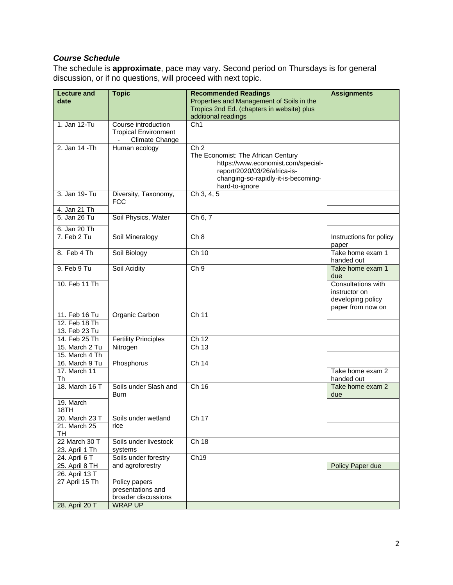# *Course Schedule*

The schedule is **approximate**, pace may vary. Second period on Thursdays is for general discussion, or if no questions, will proceed with next topic.

| <b>Lecture and</b>             | <b>Topic</b>                            | <b>Recommended Readings</b>                           | <b>Assignments</b>             |
|--------------------------------|-----------------------------------------|-------------------------------------------------------|--------------------------------|
| date                           |                                         | Properties and Management of Soils in the             |                                |
|                                |                                         | Tropics 2nd Ed. (chapters in website) plus            |                                |
|                                |                                         | additional readings                                   |                                |
| 1. Jan 12-Tu                   | Course introduction                     | Ch <sub>1</sub>                                       |                                |
|                                | <b>Tropical Environment</b>             |                                                       |                                |
|                                | Climate Change                          |                                                       |                                |
| 2. Jan 14 - Th                 | Human ecology                           | Ch <sub>2</sub><br>The Economist: The African Century |                                |
|                                |                                         | https://www.economist.com/special-                    |                                |
|                                |                                         | report/2020/03/26/africa-is-                          |                                |
|                                |                                         | changing-so-rapidly-it-is-becoming-                   |                                |
|                                |                                         | hard-to-ignore                                        |                                |
| 3. Jan 19- Tu                  | Diversity, Taxonomy,                    | Ch 3, 4, 5                                            |                                |
|                                | <b>FCC</b>                              |                                                       |                                |
| 4. Jan 21 Th                   |                                         |                                                       |                                |
| 5. Jan 26 Tu                   | Soil Physics, Water                     | Ch 6, 7                                               |                                |
| 6. Jan 20 Th                   |                                         |                                                       |                                |
| 7. Feb 2 Tu                    | Soil Mineralogy                         | Ch 8                                                  | Instructions for policy        |
|                                |                                         |                                                       | paper                          |
| 8. Feb 4 Th                    | Soil Biology                            | Ch 10                                                 | Take home exam 1               |
| 9. Feb 9 Tu                    | Soil Acidity                            | Ch <sub>9</sub>                                       | handed out<br>Take home exam 1 |
|                                |                                         |                                                       | due                            |
| 10. Feb 11 Th                  |                                         |                                                       | Consultations with             |
|                                |                                         |                                                       | instructor on                  |
|                                |                                         |                                                       | developing policy              |
|                                |                                         |                                                       | paper from now on              |
| 11. Feb 16 Tu                  | Organic Carbon                          | Ch <sub>11</sub>                                      |                                |
| 12. Feb 18 Th                  |                                         |                                                       |                                |
| 13. Feb 23 Tu<br>14. Feb 25 Th |                                         | Ch 12                                                 |                                |
| 15. March 2 Tu                 | <b>Fertility Principles</b><br>Nitrogen | Ch <sub>13</sub>                                      |                                |
| 15. March 4 Th                 |                                         |                                                       |                                |
| 16. March 9 Tu                 | Phosphorus                              | Ch 14                                                 |                                |
| 17. March 11                   |                                         |                                                       | Take home exam 2               |
| Th                             |                                         |                                                       | handed out                     |
| 18. March 16 T                 | Soils under Slash and                   | Ch 16                                                 | Take home exam 2               |
|                                | <b>Burn</b>                             |                                                       | due                            |
| 19. March                      |                                         |                                                       |                                |
| 18TH                           |                                         |                                                       |                                |
| 20. March 23 T                 | Soils under wetland                     | Ch 17                                                 |                                |
| 21. March 25                   | rice                                    |                                                       |                                |
| TH<br>22 March 30 T            | Soils under livestock                   | Ch 18                                                 |                                |
| 23. April 1 Th                 | systems                                 |                                                       |                                |
| 24. April 6 T                  | Soils under forestry                    | Ch <sub>19</sub>                                      |                                |
| 25. April 8 TH                 | and agroforestry                        |                                                       | Policy Paper due               |
| 26. April 13 T                 |                                         |                                                       |                                |
| 27 April 15 Th                 | Policy papers                           |                                                       |                                |
|                                | presentations and                       |                                                       |                                |
|                                | broader discussions                     |                                                       |                                |
| 28. April 20 T                 | <b>WRAP UP</b>                          |                                                       |                                |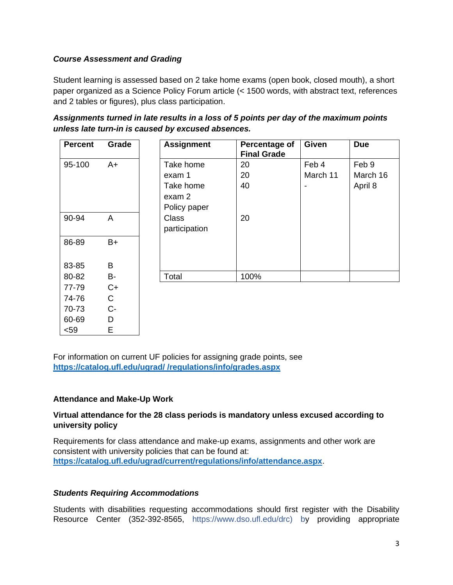# *Course Assessment and Grading*

Student learning is assessed based on 2 take home exams (open book, closed mouth), a short paper organized as a Science Policy Forum article (< 1500 words, with abstract text, references and 2 tables or figures), plus class participation.

| <b>Percent</b> | Grade          | <b>Assignment</b>                   | Percentage of<br><b>Final Grade</b> | <b>Given</b> | <b>Due</b> |
|----------------|----------------|-------------------------------------|-------------------------------------|--------------|------------|
| 95-100<br>$A+$ |                | Take home                           | 20                                  | Feb 4        | Feb 9      |
|                |                | exam 1                              | 20                                  | March 11     | March 16   |
|                |                | Take home<br>exam 2<br>Policy paper | 40                                  | ۰            | April 8    |
| 90-94          | $\overline{A}$ | <b>Class</b><br>participation       | 20                                  |              |            |
| 86-89          | $B+$           |                                     |                                     |              |            |
| 83-85          | Β              |                                     |                                     |              |            |
| 80-82          | B-             | Total                               | 100%                                |              |            |
| 77-79          | $C+$           |                                     |                                     |              |            |

*Assignments turned in late results in a loss of 5 points per day of the maximum points unless late turn-in is caused by excused absences.*

For information on current UF policies for assigning grade points, see **[https://catalog.ufl.edu/ugrad/ /regulations/info/grades.aspx](https://catalog.ufl.edu/ugrad/%20/regulations/info/grades.aspx)**

### **Attendance and Make-Up Work**

74-76 C 70-73 C-60-69 D <59 E

### **Virtual attendance for the 28 class periods is mandatory unless excused according to university policy**

Requirements for class attendance and make-up exams, assignments and other work are consistent with university policies that can be found at: **<https://catalog.ufl.edu/ugrad/current/regulations/info/attendance.aspx>**.

### *Students Requiring Accommodations*

Students with disabilities requesting accommodations should first register with the Disability Resource Center (352-392-8565, https://www.dso.ufl.edu/drc) by providing appropriate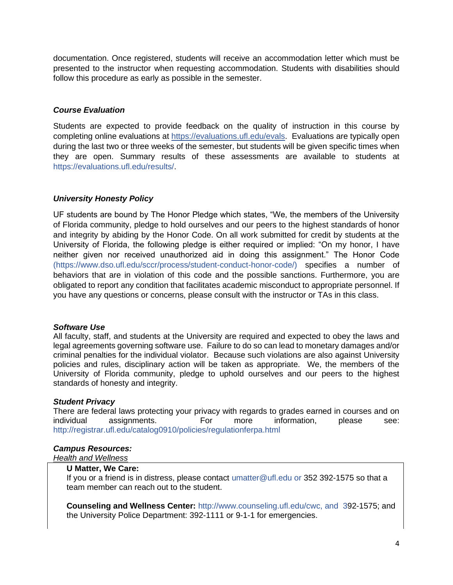documentation. Once registered, students will receive an accommodation letter which must be presented to the instructor when requesting accommodation. Students with disabilities should follow this procedure as early as possible in the semester.

### *Course Evaluation*

Students are expected to provide feedback on the quality of instruction in this course by completing online evaluations at [https://evaluations.ufl.edu/evals.](https://evaluations.ufl.edu/evals) Evaluations are typically open during the last two or three weeks of the semester, but students will be given specific times when they are open. Summary results of these assessments are available to students at [https://evaluations.ufl.edu/results/.](https://evaluations.ufl.edu/results/)

### *University Honesty Policy*

UF students are bound by The Honor Pledge which states, "We, the members of the University of Florida community, pledge to hold ourselves and our peers to the highest standards of honor and integrity by abiding by the Honor Code. On all work submitted for credit by students at the University of Florida, the following pledge is either required or implied: "On my honor, I have neither given nor received unauthorized aid in doing this assignment." The Honor Code (https://www.dso.ufl.edu/sccr/process/student-conduct-honor-code/) specifies a number of behaviors that are in violation of this code and the possible sanctions. Furthermore, you are obligated to report any condition that facilitates academic misconduct to appropriate personnel. If you have any questions or concerns, please consult with the instructor or TAs in this class.

#### *Software Use*

All faculty, staff, and students at the University are required and expected to obey the laws and legal agreements governing software use. Failure to do so can lead to monetary damages and/or criminal penalties for the individual violator. Because such violations are also against University policies and rules, disciplinary action will be taken as appropriate. We, the members of the University of Florida community, pledge to uphold ourselves and our peers to the highest standards of honesty and integrity.

#### *Student Privacy*

There are federal laws protecting your privacy with regards to grades earned in courses and on individual assignments. For more information, please see: <http://registrar.ufl.edu/catalog0910/policies/regulationferpa.html>

#### *Campus Resources:*

#### *Health and Wellness*

### **U Matter, We Care:**

If you or a friend is in distress, please contact umatter@ufl.edu or 352 392-1575 so that a team member can reach out to the student.

**Counseling and Wellness Center:** [http://www.counseling.ufl.edu/cwc,](http://www.counseling.ufl.edu/cwc) and 392-1575; and the University Police Department: 392-1111 or 9-1-1 for emergencies.